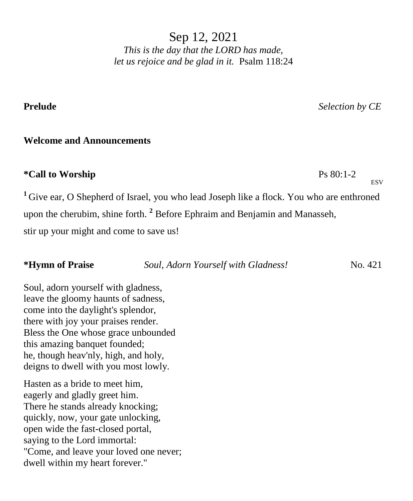Sep 12, 2021 *This is the day that the LORD has made, let us rejoice and be glad in it.* Psalm 118:24

## **Welcome and Announcements**

# **\*Call to Worship** Ps 80:1-2

**<sup>1</sup>** Give ear, O Shepherd of Israel, you who lead Joseph like a flock. You who are enthroned upon the cherubim, shine forth. **<sup>2</sup>** Before Ephraim and Benjamin and Manasseh, stir up your might and come to save us!

# **\*Hymn of Praise** *Soul, Adorn Yourself with Gladness!* No. 421

Soul, adorn yourself with gladness, leave the gloomy haunts of sadness, come into the daylight's splendor, there with joy your praises render. Bless the One whose grace unbounded this amazing banquet founded; he, though heav'nly, high, and holy, deigns to dwell with you most lowly.

Hasten as a bride to meet him, eagerly and gladly greet him. There he stands already knocking; quickly, now, your gate unlocking, open wide the fast-closed portal, saying to the Lord immortal: "Come, and leave your loved one never; dwell within my heart forever."

**Prelude** *Selection by CE*

**ESV**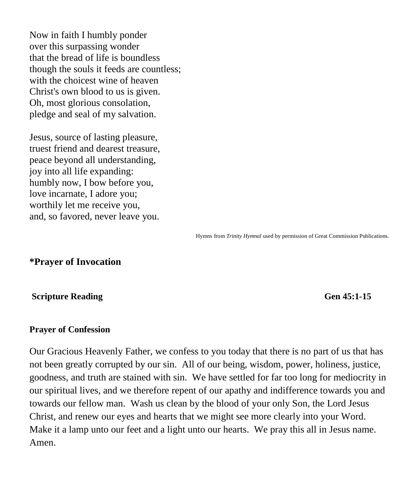Now in faith I humbly ponder over this surpassing wonder that the bread of life is boundless though the souls it feeds are countless; with the choicest wine of heaven Christ's own blood to us is given. Oh, most glorious consolation, pledge and seal of my salvation.

Jesus, source of lasting pleasure, truest friend and dearest treasure, peace beyond all understanding, joy into all life expanding: humbly now, I bow before you, love incarnate, I adore you; worthily let me receive you, and, so favored, never leave you.

Hymns from *Trinity Hymnal* used by permission of Great Commission Publications.

### **\*Prayer of Invocation**

#### **Scripture Reading Gen 45:1-15**

#### **Prayer of Confession**

Our Gracious Heavenly Father, we confess to you today that there is no part of us that has not been greatly corrupted by our sin. All of our being, wisdom, power, holiness, justice, goodness, and truth are stained with sin. We have settled for far too long for mediocrity in our spiritual lives, and we therefore repent of our apathy and indifference towards you and towards our fellow man. Wash us clean by the blood of your only Son, the Lord Jesus Christ, and renew our eyes and hearts that we might see more clearly into your Word. Make it a lamp unto our feet and a light unto our hearts. We pray this all in Jesus name. Amen.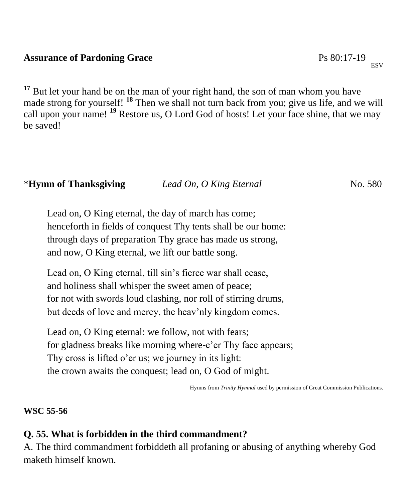# **Assurance of Pardoning Grace** Ps 80:17-19

<sup>17</sup> But let your hand be on the man of your right hand, the son of man whom you have made strong for yourself! **<sup>18</sup>** Then we shall not turn back from you; give us life, and we will call upon your name! **<sup>19</sup>** Restore us, O Lord God of hosts! Let your face shine, that we may be saved!

# \***Hymn of Thanksgiving** *Lead On, O King Eternal* No. 580

Lead on, O King eternal, the day of march has come; henceforth in fields of conquest Thy tents shall be our home: through days of preparation Thy grace has made us strong, and now, O King eternal, we lift our battle song.

Lead on, O King eternal, till sin's fierce war shall cease, and holiness shall whisper the sweet amen of peace; for not with swords loud clashing, nor roll of stirring drums, but deeds of love and mercy, the heav'nly kingdom comes.

Lead on, O King eternal: we follow, not with fears; for gladness breaks like morning where-e'er Thy face appears; Thy cross is lifted o'er us; we journey in its light: the crown awaits the conquest; lead on, O God of might.

Hymns from *Trinity Hymnal* used by permission of Great Commission Publications.

#### **WSC 55-56**

## **Q. 55. What is forbidden in the third commandment?**

A. The third commandment forbiddeth all profaning or abusing of anything whereby God maketh himself known.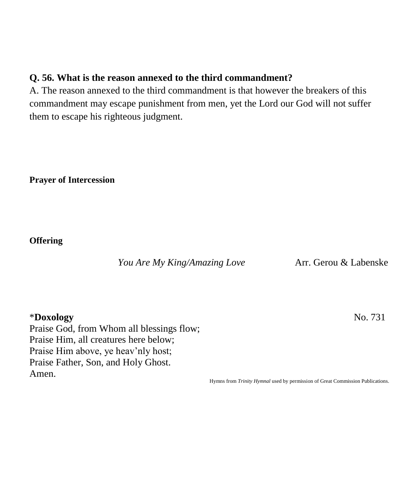# **Q. 56. What is the reason annexed to the third commandment?**

A. The reason annexed to the third commandment is that however the breakers of this commandment may escape punishment from men, yet the Lord our God will not suffer them to escape his righteous judgment.

**Prayer of Intercession**

**Offering**

*You Are My King/Amazing Love* Arr. Gerou & Labenske

\***Doxology** No. 731

Praise God, from Whom all blessings flow; Praise Him, all creatures here below; Praise Him above, ye heav'nly host; Praise Father, Son, and Holy Ghost. Amen.

Hymns from *Trinity Hymnal* used by permission of Great Commission Publications.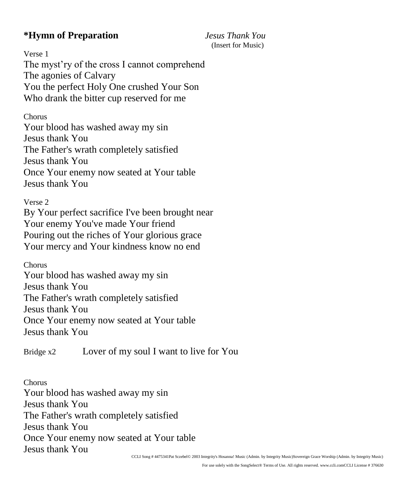# **\*Hymn of Preparation** *Jesus Thank You*

(Insert for Music)

Verse 1 The myst'ry of the cross I cannot comprehend The agonies of Calvary You the perfect Holy One crushed Your Son Who drank the bitter cup reserved for me

Chorus

Your blood has washed away my sin Jesus thank You The Father's wrath completely satisfied Jesus thank You Once Your enemy now seated at Your table Jesus thank You

Verse 2

By Your perfect sacrifice I've been brought near Your enemy You've made Your friend Pouring out the riches of Your glorious grace Your mercy and Your kindness know no end

Chorus Your blood has washed away my sin Jesus thank You The Father's wrath completely satisfied Jesus thank You Once Your enemy now seated at Your table Jesus thank You

Bridge x2 Lover of my soul I want to live for You

Chorus Your blood has washed away my sin Jesus thank You The Father's wrath completely satisfied Jesus thank You Once Your enemy now seated at Your table Jesus thank You

CCLI Song # 4475341Pat Sczebel© 2003 Integrity's Hosanna! Music (Admin. by Integrity Music)Sovereign Grace Worship (Admin. by Integrity Music)

For use solely with the SongSelect® [Terms of Use. A](https://songselect.ccli.com/about/termsofuse)ll rights reserved. [www.ccli.comC](http://www.ccli.com/)CLI License # 376630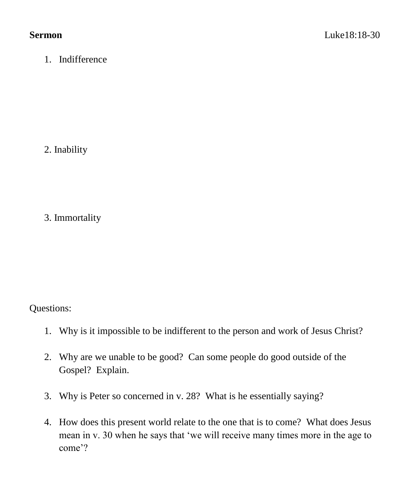1. Indifference

2. Inability

3. Immortality

Questions:

- 1. Why is it impossible to be indifferent to the person and work of Jesus Christ?
- 2. Why are we unable to be good? Can some people do good outside of the Gospel? Explain.
- 3. Why is Peter so concerned in v. 28? What is he essentially saying?
- 4. How does this present world relate to the one that is to come? What does Jesus mean in v. 30 when he says that 'we will receive many times more in the age to come'?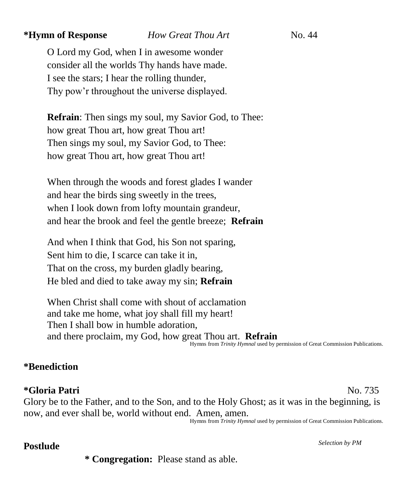### **\*Hymn of Response** *How Great Thou Art* **No. 44**

O Lord my God, when I in awesome wonder consider all the worlds Thy hands have made. I see the stars; I hear the rolling thunder, Thy pow'r throughout the universe displayed.

**Refrain**: Then sings my soul, my Savior God, to Thee: how great Thou art, how great Thou art! Then sings my soul, my Savior God, to Thee: how great Thou art, how great Thou art!

When through the woods and forest glades I wander and hear the birds sing sweetly in the trees, when I look down from lofty mountain grandeur, and hear the brook and feel the gentle breeze; **Refrain**

And when I think that God, his Son not sparing, Sent him to die, I scarce can take it in, That on the cross, my burden gladly bearing, He bled and died to take away my sin; **Refrain**

When Christ shall come with shout of acclamation and take me home, what joy shall fill my heart! Then I shall bow in humble adoration, and there proclaim, my God, how great Thou art. **Refrain** Hymns from *Trinity Hymnal* used by permission of Great Commission Publications.

### **\*Benediction**

## **\*Gloria Patri** No. 735

Glory be to the Father, and to the Son, and to the Holy Ghost; as it was in the beginning, is now, and ever shall be, world without end. Amen, amen.

Hymns from *Trinity Hymnal* used by permission of Great Commission Publications.

# **Postlude** *Selection by PM*

**\* Congregation:** Please stand as able.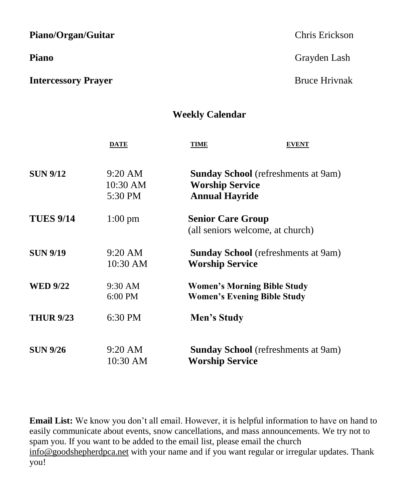Piano/Organ/Guitar **Chris Existence** Chris Erickson

**Intercessory Prayer** Bruce Hrivnak

**Piano** Grayden Lash

# **Weekly Calendar**

|                  | <b>DATE</b>                              | TIME<br><b>EVENT</b>                                                                          |  |  |  |
|------------------|------------------------------------------|-----------------------------------------------------------------------------------------------|--|--|--|
| <b>SUN 9/12</b>  | $9:20 \text{ AM}$<br>10:30 AM<br>5:30 PM | <b>Sunday School</b> (refreshments at 9am)<br><b>Worship Service</b><br><b>Annual Hayride</b> |  |  |  |
| <b>TUES 9/14</b> | $1:00 \text{ pm}$                        | <b>Senior Care Group</b><br>(all seniors welcome, at church)                                  |  |  |  |
| <b>SUN 9/19</b>  | $9:20 \text{ AM}$<br>10:30 AM            | <b>Sunday School</b> (refreshments at 9am)<br><b>Worship Service</b>                          |  |  |  |
| <b>WED 9/22</b>  | $9:30$ AM<br>6:00 PM                     | <b>Women's Morning Bible Study</b><br><b>Women's Evening Bible Study</b>                      |  |  |  |
| <b>THUR 9/23</b> | $6:30 \text{ PM}$                        | Men's Study                                                                                   |  |  |  |
| <b>SUN 9/26</b>  | 9:20 AM<br>10:30 AM                      | <b>Sunday School</b> (refreshments at 9am)<br><b>Worship Service</b>                          |  |  |  |

**Email List:** We know you don't all email. However, it is helpful information to have on hand to easily communicate about events, snow cancellations, and mass announcements. We try not to spam you. If you want to be added to the email list, please email the church [info@goodshepherdpca.net](mailto:info@goodshepherdpca.net) with your name and if you want regular or irregular updates. Thank you!